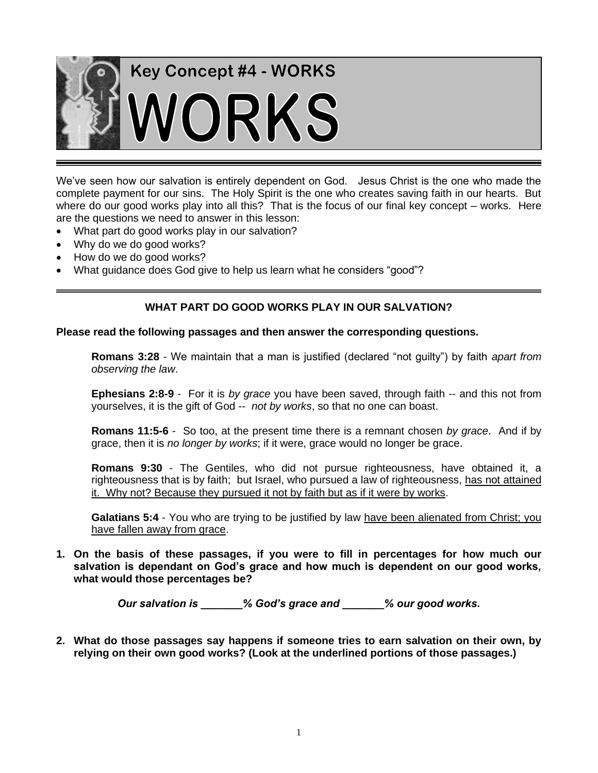

We've seen how our salvation is entirely dependent on God. Jesus Christ is the one who made the complete payment for our sins. The Holy Spirit is the one who creates saving faith in our hearts. But where do our good works play into all this? That is the focus of our final key concept – works. Here are the questions we need to answer in this lesson:

- What part do good works play in our salvation?
- Why do we do good works?
- How do we do good works?
- What guidance does God give to help us learn what he considers "good"?

### **WHAT PART DO GOOD WORKS PLAY IN OUR SALVATION?**

#### **Please read the following passages and then answer the corresponding questions.**

**Romans 3:28** - We maintain that a man is justified (declared "not guilty") by faith *apart from observing the law*.

**Ephesians 2:8-9** - For it is *by grace* you have been saved, through faith -- and this not from yourselves, it is the gift of God -- *not by works*, so that no one can boast.

**Romans 11:5-6** - So too, at the present time there is a remnant chosen *by grace*. And if by grace, then it is *no longer by works*; if it were, grace would no longer be grace.

**Romans 9:30** - The Gentiles, who did not pursue righteousness, have obtained it, a righteousness that is by faith; but Israel, who pursued a law of righteousness, has not attained it. Why not? Because they pursued it not by faith but as if it were by works.

**Galatians 5:4** - You who are trying to be justified by law have been alienated from Christ; you have fallen away from grace.

**1. On the basis of these passages, if you were to fill in percentages for how much our salvation is dependant on God's grace and how much is dependent on our good works, what would those percentages be?**

*Our salvation is \_\_\_\_\_\_\_% God's grace and \_\_\_\_\_\_\_% our good works.*

**2. What do those passages say happens if someone tries to earn salvation on their own, by relying on their own good works? (Look at the underlined portions of those passages.)**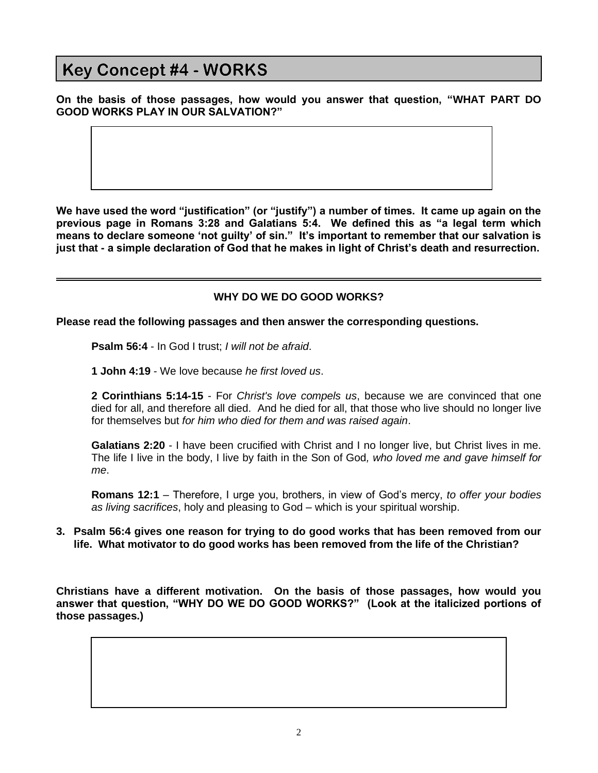**On the basis of those passages, how would you answer that question, "WHAT PART DO GOOD WORKS PLAY IN OUR SALVATION?"**

**We have used the word "justification" (or "justify") a number of times. It came up again on the previous page in Romans 3:28 and Galatians 5:4. We defined this as "a legal term which means to declare someone 'not guilty' of sin." It's important to remember that our salvation is just that - a simple declaration of God that he makes in light of Christ's death and resurrection.** 

### **WHY DO WE DO GOOD WORKS?**

**Please read the following passages and then answer the corresponding questions.**

**Psalm 56:4** - In God I trust; *I will not be afraid*.

**1 John 4:19** - We love because *he first loved us*.

**2 Corinthians 5:14-15** - For *Christ's love compels us*, because we are convinced that one died for all, and therefore all died. And he died for all, that those who live should no longer live for themselves but *for him who died for them and was raised again*.

**Galatians 2:20** - I have been crucified with Christ and I no longer live, but Christ lives in me. The life I live in the body, I live by faith in the Son of God*, who loved me and gave himself for me*.

**Romans 12:1** – Therefore, I urge you, brothers, in view of God's mercy, *to offer your bodies as living sacrifices*, holy and pleasing to God – which is your spiritual worship.

### **3. Psalm 56:4 gives one reason for trying to do good works that has been removed from our life. What motivator to do good works has been removed from the life of the Christian?**

**Christians have a different motivation. On the basis of those passages, how would you answer that question, "WHY DO WE DO GOOD WORKS?" (Look at the italicized portions of those passages.)**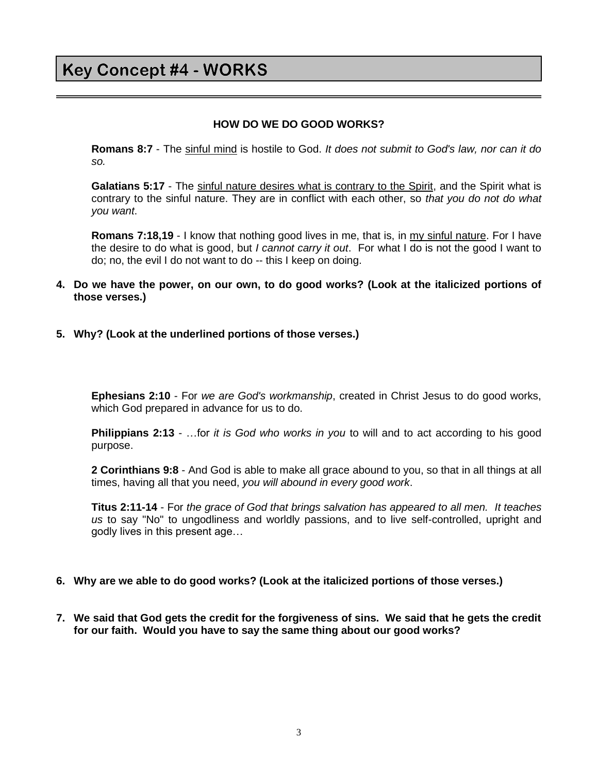### **HOW DO WE DO GOOD WORKS?**

**Romans 8:7** - The sinful mind is hostile to God. *It does not submit to God's law, nor can it do so.*

**Galatians 5:17** - The sinful nature desires what is contrary to the Spirit, and the Spirit what is contrary to the sinful nature. They are in conflict with each other, so *that you do not do what you want*.

**Romans 7:18,19** - I know that nothing good lives in me, that is, in my sinful nature. For I have the desire to do what is good, but *I cannot carry it out*. For what I do is not the good I want to do; no, the evil I do not want to do -- this I keep on doing.

- **4. Do we have the power, on our own, to do good works? (Look at the italicized portions of those verses.)**
- **5. Why? (Look at the underlined portions of those verses.)**

**Ephesians 2:10** - For *we are God's workmanship*, created in Christ Jesus to do good works, which God prepared in advance for us to do.

**Philippians 2:13** - …for *it is God who works in you* to will and to act according to his good purpose.

**2 Corinthians 9:8** - And God is able to make all grace abound to you, so that in all things at all times, having all that you need, *you will abound in every good work*.

**Titus 2:11-14** - For *the grace of God that brings salvation has appeared to all men. It teaches us* to say "No" to ungodliness and worldly passions, and to live self-controlled, upright and godly lives in this present age…

#### **6. Why are we able to do good works? (Look at the italicized portions of those verses.)**

**7. We said that God gets the credit for the forgiveness of sins. We said that he gets the credit for our faith. Would you have to say the same thing about our good works?**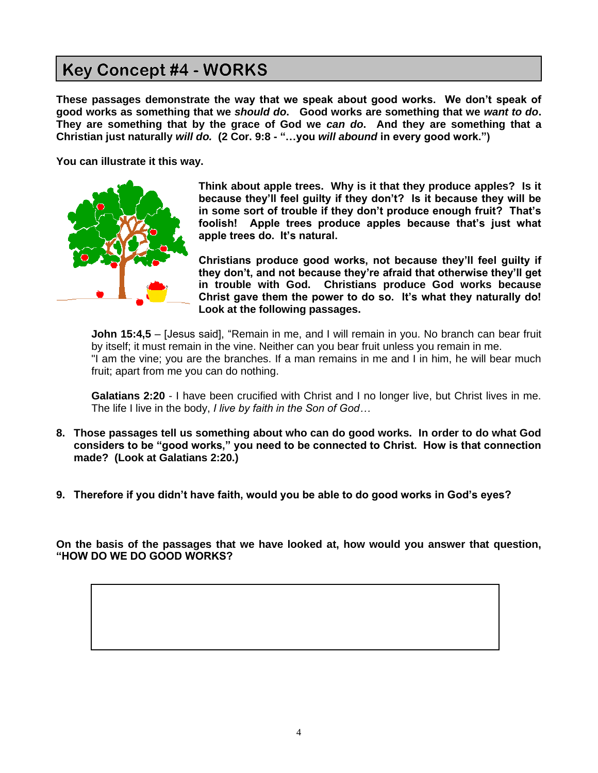**These passages demonstrate the way that we speak about good works. We don't speak of good works as something that we** *should do***. Good works are something that we** *want to do***. They are something that by the grace of God we** *can do***. And they are something that a Christian just naturally** *will do.* **(2 Cor. 9:8 - "…you** *will abound* **in every good work.")**

**You can illustrate it this way.** 



**Think about apple trees. Why is it that they produce apples? Is it because they'll feel guilty if they don't? Is it because they will be in some sort of trouble if they don't produce enough fruit? That's foolish! Apple trees produce apples because that's just what apple trees do. It's natural.** 

**Christians produce good works, not because they'll feel guilty if they don't, and not because they're afraid that otherwise they'll get in trouble with God. Christians produce God works because Christ gave them the power to do so. It's what they naturally do! Look at the following passages.**

**John 15:4,5** – [Jesus said], "Remain in me, and I will remain in you. No branch can bear fruit by itself; it must remain in the vine. Neither can you bear fruit unless you remain in me. "I am the vine; you are the branches. If a man remains in me and I in him, he will bear much fruit; apart from me you can do nothing.

**Galatians 2:20** - I have been crucified with Christ and I no longer live, but Christ lives in me. The life I live in the body, *I live by faith in the Son of God…*

- **8. Those passages tell us something about who can do good works. In order to do what God considers to be "good works," you need to be connected to Christ. How is that connection made? (Look at Galatians 2:20.)**
- **9. Therefore if you didn't have faith, would you be able to do good works in God's eyes?**

**On the basis of the passages that we have looked at, how would you answer that question, "HOW DO WE DO GOOD WORKS?**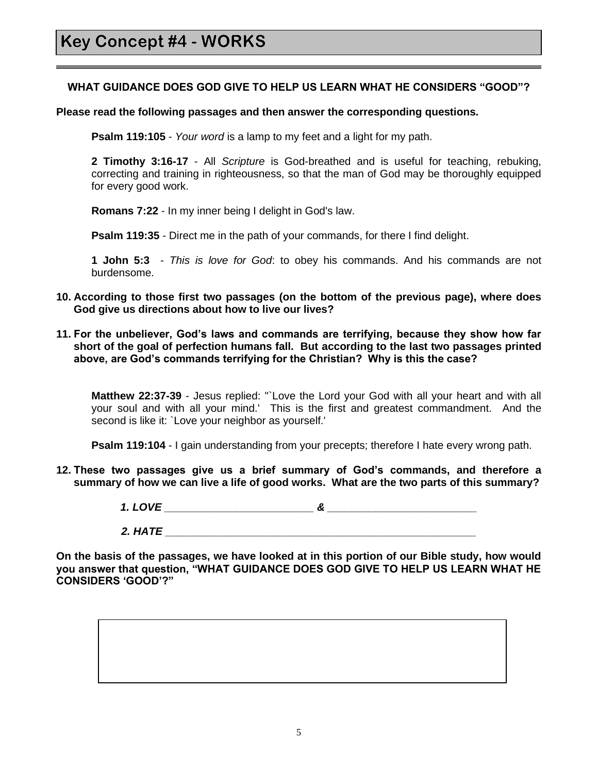### **WHAT GUIDANCE DOES GOD GIVE TO HELP US LEARN WHAT HE CONSIDERS "GOOD"?**

### **Please read the following passages and then answer the corresponding questions.**

**Psalm 119:105** - *Your word* is a lamp to my feet and a light for my path.

**2 Timothy 3:16-17** - All *Scripture* is God-breathed and is useful for teaching, rebuking, correcting and training in righteousness, so that the man of God may be thoroughly equipped for every good work.

**Romans 7:22** - In my inner being I delight in God's law.

**Psalm 119:35** - Direct me in the path of your commands, for there I find delight.

**1 John 5:3** - *This is love for God*: to obey his commands. And his commands are not burdensome.

- **10. According to those first two passages (on the bottom of the previous page), where does God give us directions about how to live our lives?**
- **11. For the unbeliever, God's laws and commands are terrifying, because they show how far short of the goal of perfection humans fall. But according to the last two passages printed above, are God's commands terrifying for the Christian? Why is this the case?**

**Matthew 22:37-39** - Jesus replied: "`Love the Lord your God with all your heart and with all your soul and with all your mind.' This is the first and greatest commandment. And the second is like it: `Love your neighbor as yourself.'

**Psalm 119:104** - I gain understanding from your precepts; therefore I hate every wrong path.

**12. These two passages give us a brief summary of God's commands, and therefore a summary of how we can live a life of good works. What are the two parts of this summary?**

*1. LOVE \_\_\_\_\_\_\_\_\_\_\_\_\_\_\_\_\_\_\_\_\_\_\_\_\_ & \_\_\_\_\_\_\_\_\_\_\_\_\_\_\_\_\_\_\_\_\_\_\_\_\_*

*2. HATE \_\_\_\_\_\_\_\_\_\_\_\_\_\_\_\_\_\_\_\_\_\_\_\_\_\_\_\_\_\_\_\_\_\_\_\_\_\_\_\_\_\_\_\_\_\_\_\_\_\_\_\_*

**On the basis of the passages, we have looked at in this portion of our Bible study, how would you answer that question, "WHAT GUIDANCE DOES GOD GIVE TO HELP US LEARN WHAT HE CONSIDERS 'GOOD'?"**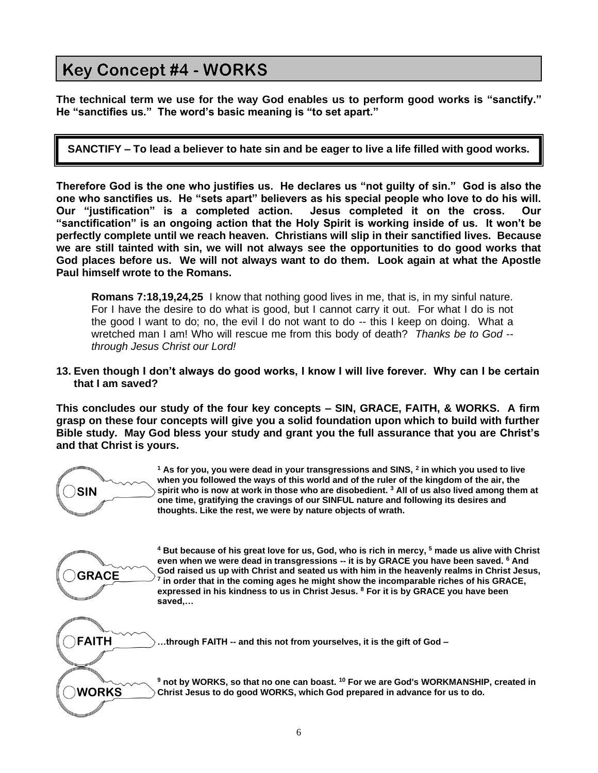**SIN**

**GRACE**

**FAITH**

**WORKS**

**The technical term we use for the way God enables us to perform good works is "sanctify." He "sanctifies us." The word's basic meaning is "to set apart."**

**SANCTIFY – To lead a believer to hate sin and be eager to live a life filled with good works.**

**Therefore God is the one who justifies us. He declares us "not guilty of sin." God is also the one who sanctifies us. He "sets apart" believers as his special people who love to do his will. Our "justification" is a completed action. Jesus completed it on the cross. Our "sanctification" is an ongoing action that the Holy Spirit is working inside of us. It won't be perfectly complete until we reach heaven. Christians will slip in their sanctified lives. Because we are still tainted with sin, we will not always see the opportunities to do good works that God places before us. We will not always want to do them. Look again at what the Apostle Paul himself wrote to the Romans.**

**Romans 7:18,19,24,25** I know that nothing good lives in me, that is, in my sinful nature. For I have the desire to do what is good, but I cannot carry it out. For what I do is not the good I want to do; no, the evil I do not want to do -- this I keep on doing. What a wretched man I am! Who will rescue me from this body of death? *Thanks be to God - through Jesus Christ our Lord!*

**13. Even though I don't always do good works, I know I will live forever. Why can I be certain that I am saved?**

**This concludes our study of the four key concepts – SIN, GRACE, FAITH, & WORKS. A firm grasp on these four concepts will give you a solid foundation upon which to build with further Bible study. May God bless your study and grant you the full assurance that you are Christ's and that Christ is yours.**

> **<sup>1</sup> As for you, you were dead in your transgressions and SINS, <sup>2</sup> in which you used to live when you followed the ways of this world and of the ruler of the kingdom of the air, the spirit who is now at work in those who are disobedient. <sup>3</sup> All of us also lived among them at one time, gratifying the cravings of our SINFUL nature and following its desires and thoughts. Like the rest, we were by nature objects of wrath.**

**<sup>4</sup> But because of his great love for us, God, who is rich in mercy, <sup>5</sup> made us alive with Christ even when we were dead in transgressions -- it is by GRACE you have been saved. <sup>6</sup> And God raised us up with Christ and seated us with him in the heavenly realms in Christ Jesus, 7 in order that in the coming ages he might show the incomparable riches of his GRACE, expressed in his kindness to us in Christ Jesus. <sup>8</sup> For it is by GRACE you have been saved,…**

**…through FAITH -- and this not from yourselves, it is the gift of God –**

**<sup>9</sup> not by WORKS, so that no one can boast. <sup>10</sup> For we are God's WORKMANSHIP, created in Christ Jesus to do good WORKS, which God prepared in advance for us to do.**